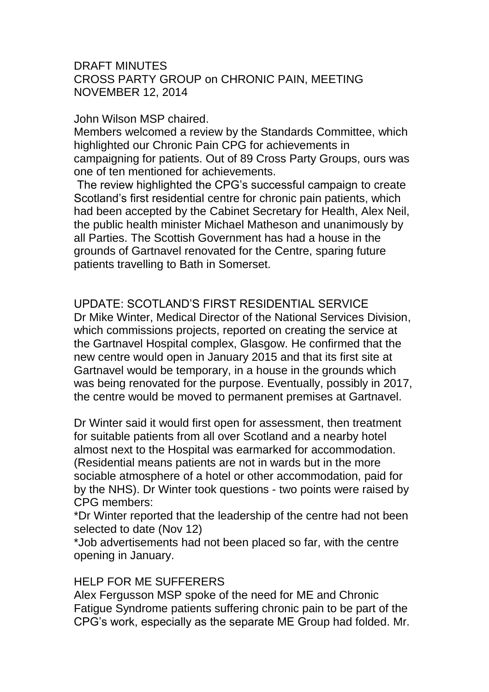#### DRAFT MINUTES CROSS PARTY GROUP on CHRONIC PAIN, MEETING NOVEMBER 12, 2014

#### John Wilson MSP chaired.

Members welcomed a review by the Standards Committee, which highlighted our Chronic Pain CPG for achievements in campaigning for patients. Out of 89 Cross Party Groups, ours was one of ten mentioned for achievements.

The review highlighted the CPG's successful campaign to create Scotland's first residential centre for chronic pain patients, which had been accepted by the Cabinet Secretary for Health, Alex Neil, the public health minister Michael Matheson and unanimously by all Parties. The Scottish Government has had a house in the grounds of Gartnavel renovated for the Centre, sparing future patients travelling to Bath in Somerset.

# UPDATE: SCOTLAND'S FIRST RESIDENTIAL SERVICE

Dr Mike Winter, Medical Director of the National Services Division, which commissions projects, reported on creating the service at the Gartnavel Hospital complex, Glasgow. He confirmed that the new centre would open in January 2015 and that its first site at Gartnavel would be temporary, in a house in the grounds which was being renovated for the purpose. Eventually, possibly in 2017, the centre would be moved to permanent premises at Gartnavel.

Dr Winter said it would first open for assessment, then treatment for suitable patients from all over Scotland and a nearby hotel almost next to the Hospital was earmarked for accommodation. (Residential means patients are not in wards but in the more sociable atmosphere of a hotel or other accommodation, paid for by the NHS). Dr Winter took questions - two points were raised by CPG members:

\*Dr Winter reported that the leadership of the centre had not been selected to date (Nov 12)

\*Job advertisements had not been placed so far, with the centre opening in January.

### HELP FOR ME SUFFERERS

Alex Fergusson MSP spoke of the need for ME and Chronic Fatigue Syndrome patients suffering chronic pain to be part of the CPG's work, especially as the separate ME Group had folded. Mr.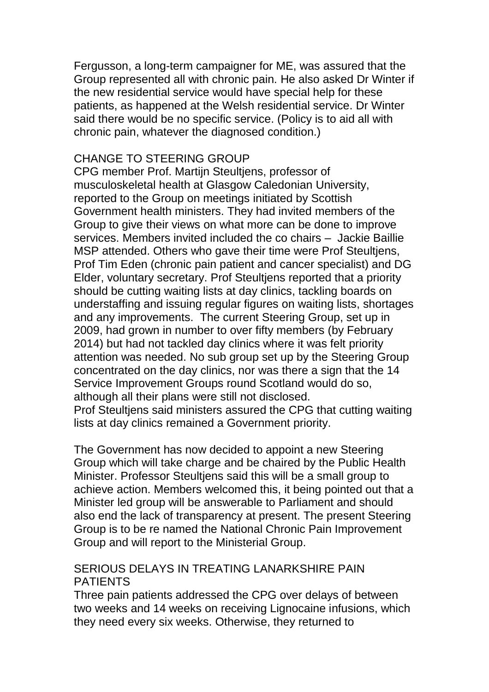Fergusson, a long-term campaigner for ME, was assured that the Group represented all with chronic pain. He also asked Dr Winter if the new residential service would have special help for these patients, as happened at the Welsh residential service. Dr Winter said there would be no specific service. (Policy is to aid all with chronic pain, whatever the diagnosed condition.)

## CHANGE TO STEERING GROUP

CPG member Prof. Martijn Steultjens, professor of musculoskeletal health at Glasgow Caledonian University, reported to the Group on meetings initiated by Scottish Government health ministers. They had invited members of the Group to give their views on what more can be done to improve services. Members invited included the co chairs – Jackie Baillie MSP attended. Others who gave their time were Prof Steultjens, Prof Tim Eden (chronic pain patient and cancer specialist) and DG Elder, voluntary secretary. Prof Steultjens reported that a priority should be cutting waiting lists at day clinics, tackling boards on understaffing and issuing regular figures on waiting lists, shortages and any improvements. The current Steering Group, set up in 2009, had grown in number to over fifty members (by February 2014) but had not tackled day clinics where it was felt priority attention was needed. No sub group set up by the Steering Group concentrated on the day clinics, nor was there a sign that the 14 Service Improvement Groups round Scotland would do so, although all their plans were still not disclosed. Prof Steultjens said ministers assured the CPG that cutting waiting

lists at day clinics remained a Government priority.

The Government has now decided to appoint a new Steering Group which will take charge and be chaired by the Public Health Minister. Professor Steultjens said this will be a small group to achieve action. Members welcomed this, it being pointed out that a Minister led group will be answerable to Parliament and should also end the lack of transparency at present. The present Steering Group is to be re named the National Chronic Pain Improvement Group and will report to the Ministerial Group.

## SERIOUS DELAYS IN TREATING LANARKSHIRE PAIN PATIENTS

Three pain patients addressed the CPG over delays of between two weeks and 14 weeks on receiving Lignocaine infusions, which they need every six weeks. Otherwise, they returned to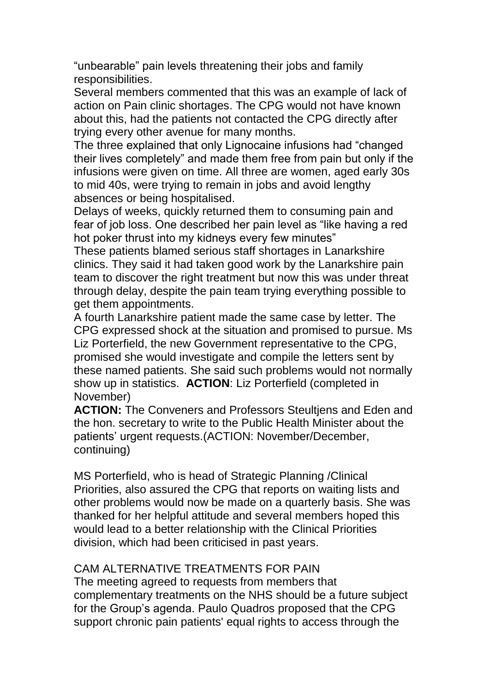"unbearable" pain levels threatening their jobs and family responsibilities.

Several members commented that this was an example of lack of action on Pain clinic shortages. The CPG would not have known about this, had the patients not contacted the CPG directly after trying every other avenue for many months.

The three explained that only Lignocaine infusions had "changed their lives completely" and made them free from pain but only if the infusions were given on time. All three are women, aged early 30s to mid 40s, were trying to remain in jobs and avoid lengthy absences or being hospitalised.

Delays of weeks, quickly returned them to consuming pain and fear of job loss. One described her pain level as "like having a red hot poker thrust into my kidneys every few minutes"

These patients blamed serious staff shortages in Lanarkshire clinics. They said it had taken good work by the Lanarkshire pain team to discover the right treatment but now this was under threat through delay, despite the pain team trying everything possible to get them appointments.

A fourth Lanarkshire patient made the same case by letter. The CPG expressed shock at the situation and promised to pursue. Ms Liz Porterfield, the new Government representative to the CPG, promised she would investigate and compile the letters sent by these named patients. She said such problems would not normally show up in statistics. **ACTION**: Liz Porterfield (completed in November)

**ACTION:** The Conveners and Professors Steultjens and Eden and the hon. secretary to write to the Public Health Minister about the patients' urgent requests.(ACTION: November/December, continuing)

MS Porterfield, who is head of Strategic Planning /Clinical Priorities, also assured the CPG that reports on waiting lists and other problems would now be made on a quarterly basis. She was thanked for her helpful attitude and several members hoped this would lead to a better relationship with the Clinical Priorities division, which had been criticised in past years.

# CAM ALTERNATIVE TREATMENTS FOR PAIN

The meeting agreed to requests from members that complementary treatments on the NHS should be a future subject for the Group's agenda. Paulo Quadros proposed that the CPG support chronic pain patients' equal rights to access through the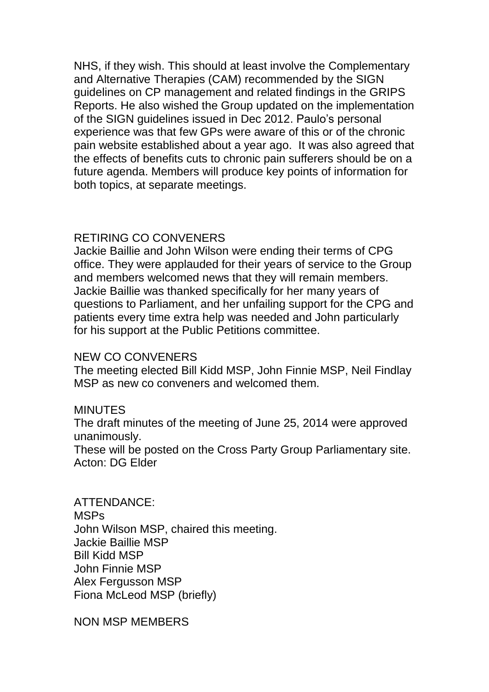NHS, if they wish. This should at least involve the Complementary and Alternative Therapies (CAM) recommended by the SIGN guidelines on CP management and related findings in the GRIPS Reports. He also wished the Group updated on the implementation of the SIGN guidelines issued in Dec 2012. Paulo's personal experience was that few GPs were aware of this or of the chronic pain website established about a year ago. It was also agreed that the effects of benefits cuts to chronic pain sufferers should be on a future agenda. Members will produce key points of information for both topics, at separate meetings.

## RETIRING CO CONVENERS

Jackie Baillie and John Wilson were ending their terms of CPG office. They were applauded for their years of service to the Group and members welcomed news that they will remain members. Jackie Baillie was thanked specifically for her many years of questions to Parliament, and her unfailing support for the CPG and patients every time extra help was needed and John particularly for his support at the Public Petitions committee.

### NEW CO CONVENERS

The meeting elected Bill Kidd MSP, John Finnie MSP, Neil Findlay MSP as new co conveners and welcomed them.

### MINUTES

The draft minutes of the meeting of June 25, 2014 were approved unanimously.

These will be posted on the Cross Party Group Parliamentary site. Acton: DG Elder

ATTENDANCE: MSPs John Wilson MSP, chaired this meeting. Jackie Baillie MSP Bill Kidd MSP John Finnie MSP Alex Fergusson MSP Fiona McLeod MSP (briefly)

NON MSP MEMBERS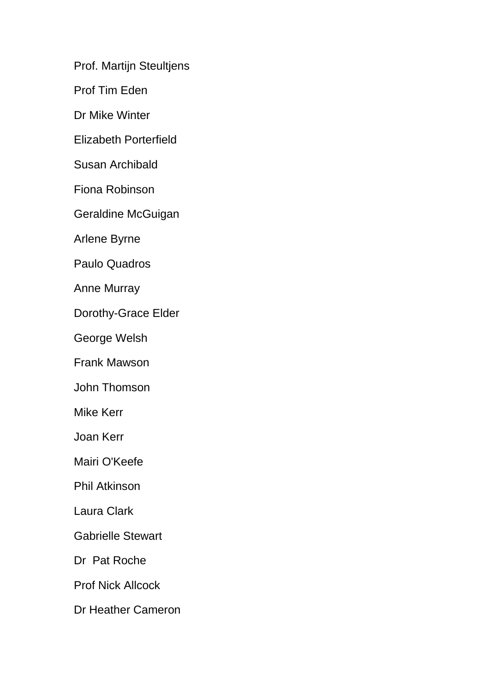Prof. Martijn Steultjens

Prof Tim Eden

Dr Mike Winter

Elizabeth Porterfield

Susan Archibald

Fiona Robinson

Geraldine McGuigan

Arlene Byrne

Paulo Quadros

Anne Murray

Dorothy-Grace Elder

George Welsh

Frank Mawson

John Thomson

Mike Kerr

Joan Kerr

Mairi O'Keefe

Phil Atkinson

Laura Clark

Gabrielle Stewart

Dr Pat Roche

Prof Nick Allcock

Dr Heather Cameron